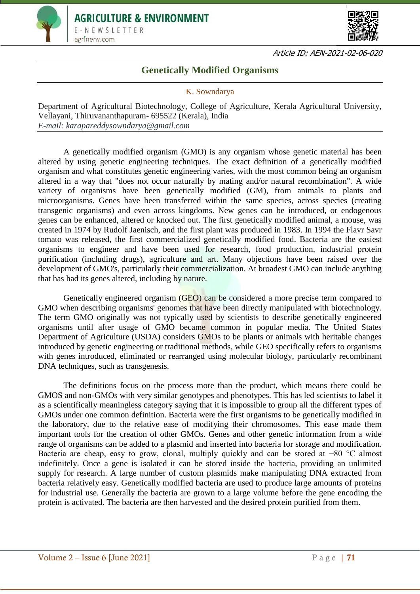



Article ID: AEN-2021-02-06-020

# **Genetically Modified Organisms**

## K. Sowndarya

Department of Agricultural Biotechnology, College of Agriculture, Kerala Agricultural University, Vellayani, Thiruvananthapuram- 695522 (Kerala), India *E-mail: karapareddysowndarya@gmail.com*

A genetically modified organism (GMO) is any organism whose genetic material has been altered by using genetic engineering techniques. The exact definition of a genetically modified organism and what constitutes genetic engineering varies, with the most common being an organism altered in a way that "does not occur naturally by mating and/or natural recombination". A wide variety of organisms have been genetically modified (GM), from animals to plants and microorganisms. Genes have been transferred within the same species, across species (creating transgenic organisms) and even across kingdoms. New genes can be introduced, or endogenous genes can be enhanced, altered or knocked out. The first genetically modified animal, a mouse, was created in 1974 by Rudolf Jaenisch, and the first plant was produced in 1983. In 1994 the Flavr Savr tomato was released, the first commercialized genetically modified food. Bacteria are the easiest organisms to engineer and have been used for research, food production, industrial protein purification (including drugs), agriculture and art. Many objections have been raised over the development of GMO's, particularly their commercialization. At broadest GMO can include anything that has had its genes altered, including by nature.

Genetically engineered organism (GEO) can be considered a more precise term compared to GMO when describing organisms' genomes that have been directly manipulated with biotechnology. The term GMO originally was not typically used by scientists to describe genetically engineered organisms until after usage of GMO became common in popular media. The United States Department of Agriculture (USDA) considers GMOs to be plants or animals with heritable changes introduced by genetic engineering or traditional methods, while GEO specifically refers to organisms with genes introduced, eliminated or rearranged using molecular biology, particularly recombinant DNA techniques, such as transgenesis.

The definitions focus on the process more than the product, which means there could be GMOS and non-GMOs with very similar genotypes and phenotypes. This has led scientists to label it as a scientifically meaningless category saying that it is impossible to group all the different types of GMOs under one common definition. Bacteria were the first organisms to be genetically modified in the laboratory, due to the relative ease of modifying their chromosomes. This ease made them important tools for the creation of other GMOs. Genes and other genetic information from a wide range of organisms can be added to a plasmid and inserted into bacteria for storage and modification. Bacteria are cheap, easy to grow, clonal, multiply quickly and can be stored at −80 °C almost indefinitely. Once a gene is isolated it can be stored inside the bacteria, providing an unlimited supply for research. A large number of custom plasmids make manipulating DNA extracted from bacteria relatively easy. Genetically modified bacteria are used to produce large amounts of proteins for industrial use. Generally the bacteria are grown to a large volume before the gene encoding the protein is activated. The bacteria are then harvested and the desired protein purified from them.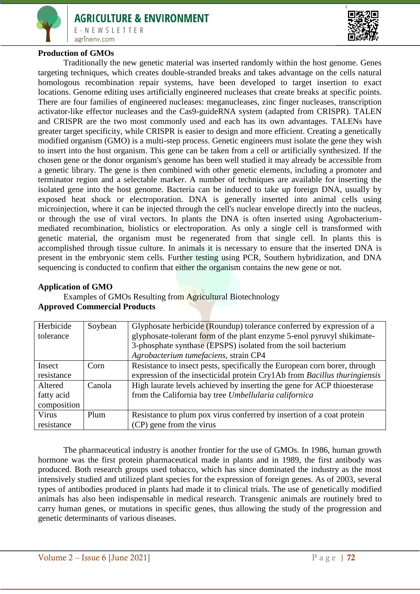



#### **Production of GMOs**

Traditionally the new genetic material was inserted randomly within the host genome. Genes targeting techniques, which creates double-stranded breaks and takes advantage on the cells natural homologous recombination repair systems, have been developed to target insertion to exact locations. Genome editing uses artificially engineered nucleases that create breaks at specific points. There are four families of engineered nucleases: meganucleases, zinc finger nucleases, transcription activator-like effector nucleases and the Cas9-guideRNA system (adapted from CRISPR). TALEN and CRISPR are the two most commonly used and each has its own advantages. TALENs have greater target specificity, while CRISPR is easier to design and more efficient. Creating a genetically modified organism (GMO) is a multi-step process. Genetic engineers must isolate the gene they wish to insert into the host organism. This gene can be taken from a cell or artificially synthesized. If the chosen gene or the donor organism's genome has been well studied it may already be accessible from a genetic library. The gene is then combined with other genetic elements, including a promoter and terminator region and a selectable marker. A number of techniques are available for inserting the isolated gene into the host genome. Bacteria can be induced to take up foreign DNA, usually by exposed heat shock or electroporation. DNA is generally inserted into animal cells using microinjection, where it can be injected through the cell's nuclear envelope directly into the nucleus, or through the use of viral vectors. In plants the DNA is often inserted using Agrobacteriummediated recombination, biolistics or electroporation. As only a single cell is transformed with genetic material, the organism must be regenerated from that single cell. In plants this is accomplished through tissue culture. In animals it is necessary to ensure that the inserted DNA is present in the embryonic stem cells. Further testing using PCR, Southern hybridization, and DNA sequencing is conducted to confirm that either the organism contains the new gene or not.

#### **Application of GMO**

Examples of GMOs Resulting from Agricultural Biotechnology **Approved Commercial Products**

| Herbicide   | Soybean | Glyphosate herbicide (Roundup) tolerance conferred by expression of a     |
|-------------|---------|---------------------------------------------------------------------------|
| tolerance   |         | glyphosate-tolerant form of the plant enzyme 5-enol pyruvyl shikimate-    |
|             |         | 3-phosphate synthase (EPSPS) isolated from the soil bacterium             |
|             |         | Agrobacterium tumefaciens, strain CP4                                     |
| Insect      | Corn    | Resistance to insect pests, specifically the European corn borer, through |
| resistance  |         | expression of the insecticidal protein Cry1Ab from Bacillus thuringiensis |
| Altered     | Canola  | High laurate levels achieved by inserting the gene for ACP thioesterase   |
| fatty acid  |         | from the California bay tree Umbellularia californica                     |
| composition |         |                                                                           |
| Virus       | Plum    | Resistance to plum pox virus conferred by insertion of a coat protein     |
| resistance  |         | (CP) gene from the virus                                                  |

The pharmaceutical industry is another frontier for the use of GMOs. In 1986, human growth hormone was the first protein pharmaceutical made in plants and in 1989, the first antibody was produced. Both research groups used tobacco, which has since dominated the industry as the most intensively studied and utilized plant species for the expression of foreign genes. As of 2003, several types of antibodies produced in plants had made it to clinical trials. The use of genetically modified animals has also been indispensable in medical research. Transgenic animals are routinely bred to carry human genes, or mutations in specific genes, thus allowing the study of the progression and genetic determinants of various diseases.